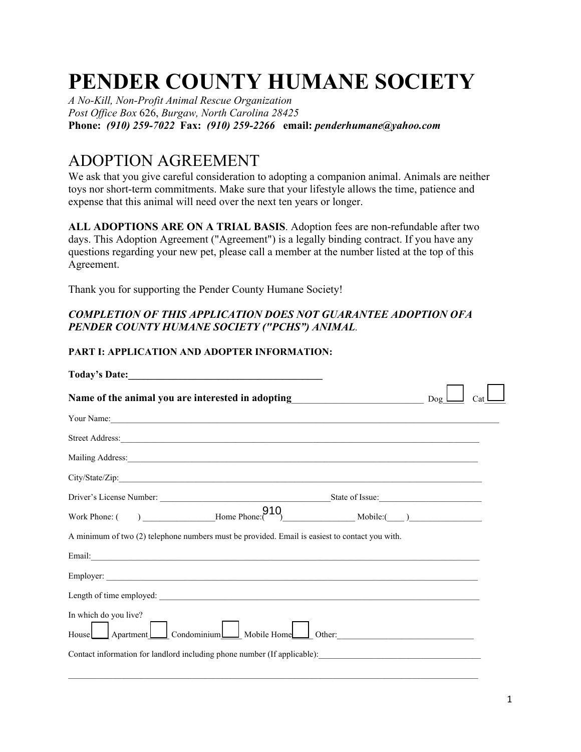# **PENDER COUNTY HUMANE SOCIETY**

*A No-Kill, Non-Profit Animal Rescue Organization Post Office Box* 626, *Burgaw, North Carolina 28425* **Phone:** *(910) 259-7022* **Fax:** *(910) 259-2266* **email:** *penderhumane@yahoo.com*

# ADOPTION AGREEMENT

We ask that you give careful consideration to adopting a companion animal. Animals are neither toys nor short-term commitments. Make sure that your lifestyle allows the time, patience and expense that this animal will need over the next ten years or longer.

**ALL ADOPTIONS ARE ON A TRIAL BASIS**. Adoption fees are non-refundable after two days. This Adoption Agreement ("Agreement") is a legally binding contract. If you have any questions regarding your new pet, please call a member at the number listed at the top of this Agreement.

Thank you for supporting the Pender County Humane Society!

## *COMPLETION OF THIS APPLICATION DOES NOT GUARANTEE ADOPTION OFA PENDER COUNTY HUMANE SOCIETY ("PCHS") ANIMAL.*

## **PART I: APPLICATION AND ADOPTER INFORMATION:**

| Today's Date: Note:                                                                                                                                                                                                            |  |
|--------------------------------------------------------------------------------------------------------------------------------------------------------------------------------------------------------------------------------|--|
| Name of the animal you are interested in adopting________________________________ Dog_                                                                                                                                         |  |
| Your Name:                                                                                                                                                                                                                     |  |
| Street Address: <u>Community of the Community of the Street Address</u>                                                                                                                                                        |  |
| Mailing Address: National Address: National Address: National Address: National Address: National Address: National Address: National Address: National Address: National Address: National Address: National Address: Nationa |  |
|                                                                                                                                                                                                                                |  |
|                                                                                                                                                                                                                                |  |
|                                                                                                                                                                                                                                |  |
| A minimum of two (2) telephone numbers must be provided. Email is easiest to contact you with.                                                                                                                                 |  |
|                                                                                                                                                                                                                                |  |
|                                                                                                                                                                                                                                |  |
|                                                                                                                                                                                                                                |  |
| In which do you live?<br>House Apartment Condominium Mobile Home Other:                                                                                                                                                        |  |
|                                                                                                                                                                                                                                |  |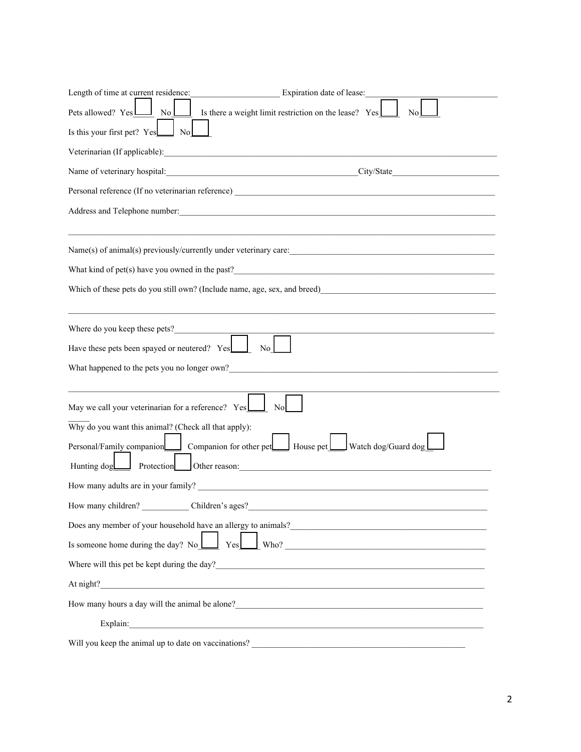| Length of time at current residence:<br>Expiration date of lease:                                                                                                                                                                      |
|----------------------------------------------------------------------------------------------------------------------------------------------------------------------------------------------------------------------------------------|
| Is there a weight limit restriction on the lease? Yes<br>Pets allowed? YesL<br>$\overline{N_0}$<br>No                                                                                                                                  |
| Is this your first pet? Yes<br>N <sub>o</sub>                                                                                                                                                                                          |
|                                                                                                                                                                                                                                        |
| Name of veterinary hospital: City/State City/State                                                                                                                                                                                     |
|                                                                                                                                                                                                                                        |
|                                                                                                                                                                                                                                        |
|                                                                                                                                                                                                                                        |
| Name(s) of animal(s) previously/currently under veterinary care:                                                                                                                                                                       |
| What kind of pet(s) have you owned in the past?<br><u> 1989 - Jan James James Barnett, fransk politik (d. 1989)</u>                                                                                                                    |
|                                                                                                                                                                                                                                        |
|                                                                                                                                                                                                                                        |
|                                                                                                                                                                                                                                        |
| Have these pets been spayed or neutered? Yes                                                                                                                                                                                           |
| What happened to the pets you no longer own?                                                                                                                                                                                           |
|                                                                                                                                                                                                                                        |
| May we call your veterinarian for a reference? Yes                                                                                                                                                                                     |
| Why do you want this animal? (Check all that apply):                                                                                                                                                                                   |
| Personal/Family companion companion for other pet Resolution House pet Watch dog/Guard dog                                                                                                                                             |
| Hunting dog<br>Protection Other reason: COMERCIAL CONSERVATION OF PROTECTION CONSERVATION OF PROTECTION OF PROTECTION OF PROTECTION                                                                                                    |
| How many adults are in your family?                                                                                                                                                                                                    |
|                                                                                                                                                                                                                                        |
| Does any member of your household have an allergy to animals?<br><u>Loose any</u> member of your household have an allergy to animals?<br><u>Loose any member of your household have an allergy to animals?</u>                        |
| Is someone home during the day? No $\boxed{\phantom{\big }}$ Yes Who? $\phantom{\big }}$ Who?                                                                                                                                          |
| Where will this pet be kept during the day?<br><u>Letting</u> the day?<br><u>Letting</u> the day?<br><u>Letting</u> the day?<br><u>Letting</u> the day?                                                                                |
| At night?                                                                                                                                                                                                                              |
| How many hours a day will the animal be alone?<br><u>Letting and the set of the set of the set of the set of the set of the set of the set of the set of the set of the set of the set of the set of the set of the set of the set</u> |
| Explain: The contract of the contract of the contract of the contract of the contract of the contract of the contract of the contract of the contract of the contract of the contract of the contract of the contract of the c         |
| Will you keep the animal up to date on vaccinations?                                                                                                                                                                                   |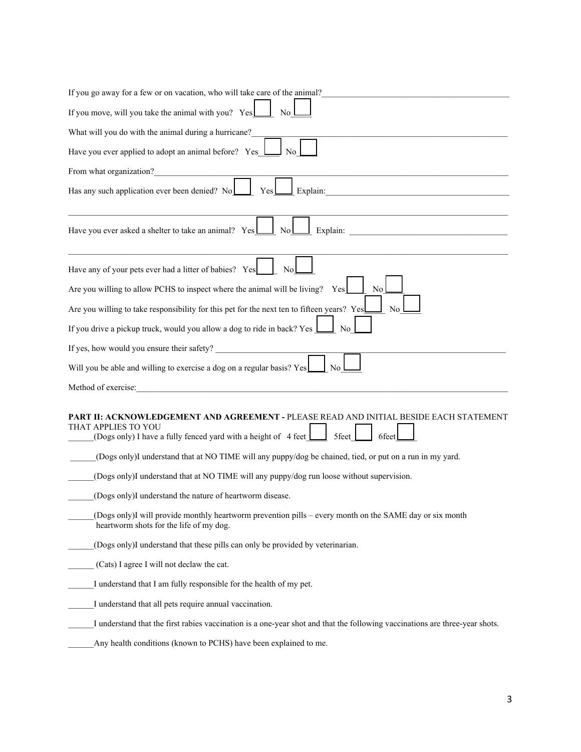| If you go away for a few or on vacation, who will take care of the animal?                                                                                                                              |
|---------------------------------------------------------------------------------------------------------------------------------------------------------------------------------------------------------|
| If you move, will you take the animal with you? Yes<br>No                                                                                                                                               |
| What will you do with the animal during a hurricane?                                                                                                                                                    |
| Have you ever applied to adopt an animal before? Yes                                                                                                                                                    |
| From what organization?                                                                                                                                                                                 |
| Has any such application ever been denied? No<br>Explain:<br>Yes                                                                                                                                        |
| Have you ever asked a shelter to take an animal? Yes<br>Explain:<br>No                                                                                                                                  |
| Have any of your pets ever had a litter of babies? Yes<br>No                                                                                                                                            |
| Are you willing to allow PCHS to inspect where the animal will be living? Yes<br>No                                                                                                                     |
| Are you willing to take responsibility for this pet for the next ten to fifteen years? Yes<br>No.                                                                                                       |
| If you drive a pickup truck, would you allow a dog to ride in back? Yes<br>No.                                                                                                                          |
| If yes, how would you ensure their safety?                                                                                                                                                              |
| Will you be able and willing to exercise a dog on a regular basis? Yes<br>No.                                                                                                                           |
| Method of exercise:                                                                                                                                                                                     |
| <b>PART II: ACKNOWLEDGEMENT AND AGREEMENT -</b> PLEASE READ AND INITIAL BESIDE EACH STATEMENT<br>THAT APPLIES TO YOU<br>(Dogs only) I have a fully fenced yard with a height of 4 feet<br>5feet<br>6fee |
| (Dogs only)I understand that at NO TIME will any puppy/dog be chained, tied, or put on a run in my yard.                                                                                                |
| (Dogs only)I understand that at NO TIME will any puppy/dog run loose without supervision.                                                                                                               |
| (Dogs only)I understand the nature of heartworm disease.                                                                                                                                                |
| (Dogs only)I will provide monthly heartworm prevention pills – every month on the SAME day or six month<br>heartworm shots for the life of my dog.                                                      |
| (Dogs only)I understand that these pills can only be provided by veterinarian.                                                                                                                          |
| (Cats) I agree I will not declaw the cat.                                                                                                                                                               |
| I understand that I am fully responsible for the health of my pet.                                                                                                                                      |
| I understand that all pets require annual vaccination.                                                                                                                                                  |
| I understand that the first rabies vaccination is a one-year shot and that the following vaccinations are three-year shots.                                                                             |
| Any health conditions (known to PCHS) have been explained to me.                                                                                                                                        |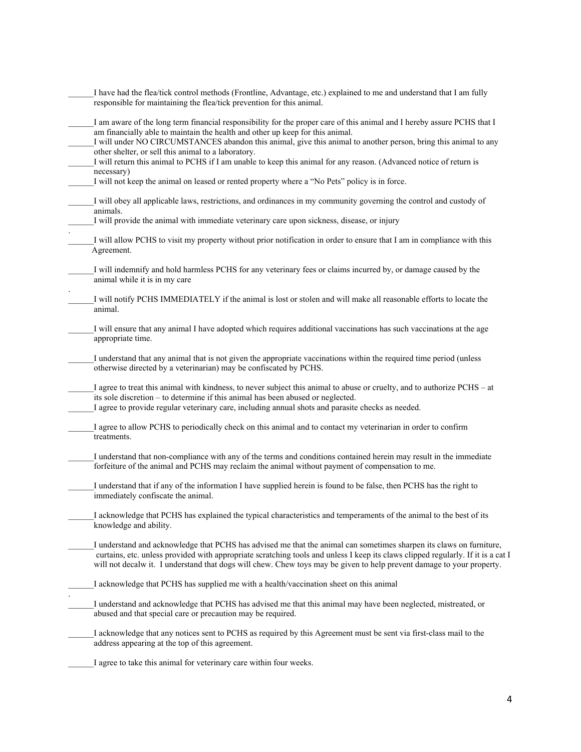| I have had the flea/tick control methods (Frontline, Advantage, etc.) explained to me and understand that I am fully<br>responsible for maintaining the flea/tick prevention for this animal.                                                                                                                                                                                                                                                                                                                          |
|------------------------------------------------------------------------------------------------------------------------------------------------------------------------------------------------------------------------------------------------------------------------------------------------------------------------------------------------------------------------------------------------------------------------------------------------------------------------------------------------------------------------|
| I am aware of the long term financial responsibility for the proper care of this animal and I hereby assure PCHS that I<br>am financially able to maintain the health and other up keep for this animal.<br>I will under NO CIRCUMSTANCES abandon this animal, give this animal to another person, bring this animal to any<br>other shelter, or sell this animal to a laboratory.<br>I will return this animal to PCHS if I am unable to keep this animal for any reason. (Advanced notice of return is<br>necessary) |
| I will not keep the animal on leased or rented property where a "No Pets" policy is in force.                                                                                                                                                                                                                                                                                                                                                                                                                          |
| I will obey all applicable laws, restrictions, and ordinances in my community governing the control and custody of<br>animals.                                                                                                                                                                                                                                                                                                                                                                                         |
| I will provide the animal with immediate veterinary care upon sickness, disease, or injury                                                                                                                                                                                                                                                                                                                                                                                                                             |
| I will allow PCHS to visit my property without prior notification in order to ensure that I am in compliance with this<br>Agreement.                                                                                                                                                                                                                                                                                                                                                                                   |
| I will indemnify and hold harmless PCHS for any veterinary fees or claims incurred by, or damage caused by the<br>animal while it is in my care                                                                                                                                                                                                                                                                                                                                                                        |
| I will notify PCHS IMMEDIATELY if the animal is lost or stolen and will make all reasonable efforts to locate the<br>animal.                                                                                                                                                                                                                                                                                                                                                                                           |
| I will ensure that any animal I have adopted which requires additional vaccinations has such vaccinations at the age<br>appropriate time.                                                                                                                                                                                                                                                                                                                                                                              |
| I understand that any animal that is not given the appropriate vaccinations within the required time period (unless<br>otherwise directed by a veterinarian) may be confiscated by PCHS.                                                                                                                                                                                                                                                                                                                               |
| I agree to treat this animal with kindness, to never subject this animal to abuse or cruelty, and to authorize PCHS – at<br>its sole discretion – to determine if this animal has been abused or neglected.<br>I agree to provide regular veterinary care, including annual shots and parasite checks as needed.                                                                                                                                                                                                       |
| I agree to allow PCHS to periodically check on this animal and to contact my veterinarian in order to confirm<br>treatments.                                                                                                                                                                                                                                                                                                                                                                                           |
| I understand that non-compliance with any of the terms and conditions contained herein may result in the immediate<br>forfeiture of the animal and PCHS may reclaim the animal without payment of compensation to me.                                                                                                                                                                                                                                                                                                  |
| I understand that if any of the information I have supplied herein is found to be false, then PCHS has the right to<br>immediately confiscate the animal.                                                                                                                                                                                                                                                                                                                                                              |
| I acknowledge that PCHS has explained the typical characteristics and temperaments of the animal to the best of its<br>knowledge and ability.                                                                                                                                                                                                                                                                                                                                                                          |
| I understand and acknowledge that PCHS has advised me that the animal can sometimes sharpen its claws on furniture,<br>curtains, etc. unless provided with appropriate scratching tools and unless I keep its claws clipped regularly. If it is a cat I<br>will not decalw it. I understand that dogs will chew. Chew toys may be given to help prevent damage to your property.                                                                                                                                       |
| I acknowledge that PCHS has supplied me with a health/vaccination sheet on this animal                                                                                                                                                                                                                                                                                                                                                                                                                                 |
| I understand and acknowledge that PCHS has advised me that this animal may have been neglected, mistreated, or<br>abused and that special care or precaution may be required.                                                                                                                                                                                                                                                                                                                                          |
| I acknowledge that any notices sent to PCHS as required by this Agreement must be sent via first-class mail to the<br>address appearing at the top of this agreement.                                                                                                                                                                                                                                                                                                                                                  |
|                                                                                                                                                                                                                                                                                                                                                                                                                                                                                                                        |

\_\_\_\_\_\_I agree to take this animal for veterinary care within four weeks.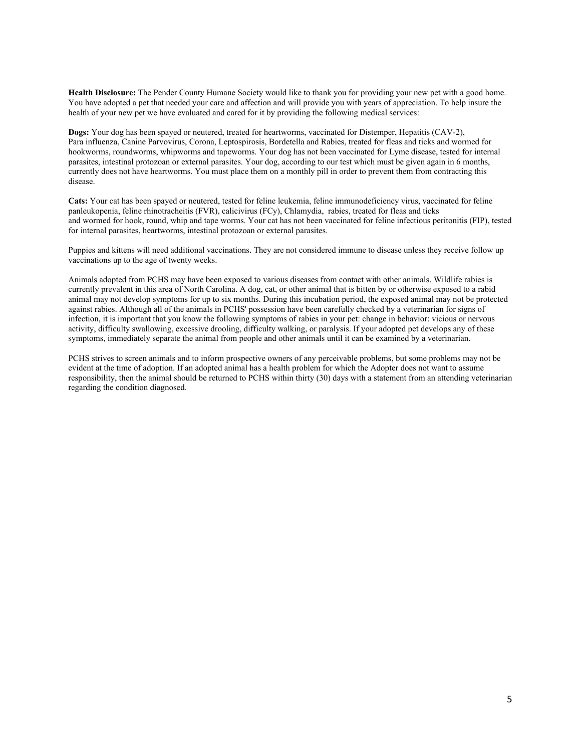**Health Disclosure:** The Pender County Humane Society would like to thank you for providing your new pet with a good home. You have adopted a pet that needed your care and affection and will provide you with years of appreciation. To help insure the health of your new pet we have evaluated and cared for it by providing the following medical services:

**Dogs:** Your dog has been spayed or neutered, treated for heartworms, vaccinated for Distemper, Hepatitis (CAV-2), Para influenza, Canine Parvovirus, Corona, Leptospirosis, Bordetella and Rabies, treated for fleas and ticks and wormed for hookworms, roundworms, whipworms and tapeworms. Your dog has not been vaccinated for Lyme disease, tested for internal parasites, intestinal protozoan or external parasites. Your dog, according to our test which must be given again in 6 months, currently does not have heartworms. You must place them on a monthly pill in order to prevent them from contracting this disease.

**Cats:** Your cat has been spayed or neutered, tested for feline leukemia, feline immunodeficiency virus, vaccinated for feline panleukopenia, feline rhinotracheitis (FVR), calicivirus (FCy), Chlamydia, rabies, treated for fleas and ticks and wormed for hook, round, whip and tape worms. Your cat has not been vaccinated for feline infectious peritonitis (FIP), tested for internal parasites, heartworms, intestinal protozoan or external parasites.

Puppies and kittens will need additional vaccinations. They are not considered immune to disease unless they receive follow up vaccinations up to the age of twenty weeks.

Animals adopted from PCHS may have been exposed to various diseases from contact with other animals. Wildlife rabies is currently prevalent in this area of North Carolina. A dog, cat, or other animal that is bitten by or otherwise exposed to a rabid animal may not develop symptoms for up to six months. During this incubation period, the exposed animal may not be protected against rabies. Although all of the animals in PCHS' possession have been carefully checked by a veterinarian for signs of infection, it is important that you know the following symptoms of rabies in your pet: change in behavior: vicious or nervous activity, difficulty swallowing, excessive drooling, difficulty walking, or paralysis. If your adopted pet develops any of these symptoms, immediately separate the animal from people and other animals until it can be examined by a veterinarian.

PCHS strives to screen animals and to inform prospective owners of any perceivable problems, but some problems may not be evident at the time of adoption. If an adopted animal has a health problem for which the Adopter does not want to assume responsibility, then the animal should be returned to PCHS within thirty (30) days with a statement from an attending veterinarian regarding the condition diagnosed.